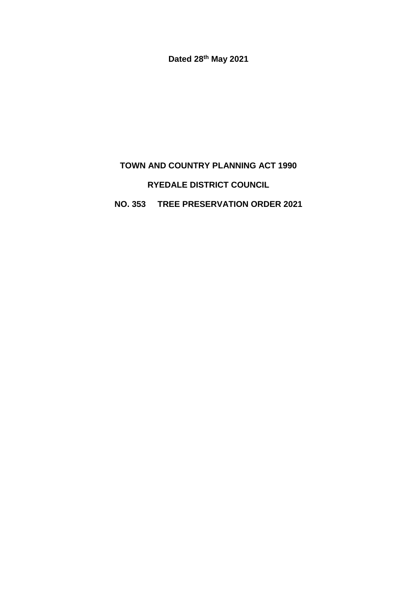**Dated 28th May 2021**

# **TOWN AND COUNTRY PLANNING ACT 1990 RYEDALE DISTRICT COUNCIL**

## **NO. 353 TREE PRESERVATION ORDER 2021**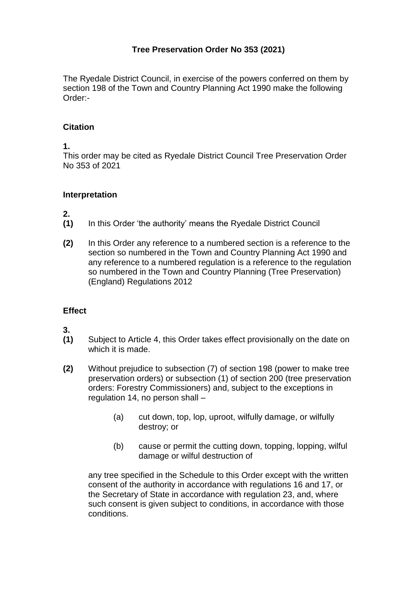## **Tree Preservation Order No 353 (2021)**

The Ryedale District Council, in exercise of the powers conferred on them by section 198 of the Town and Country Planning Act 1990 make the following Order:-

#### **Citation**

**1.**

This order may be cited as Ryedale District Council Tree Preservation Order No 353 of 2021

#### **Interpretation**

**2.**

- **(1)** In this Order 'the authority' means the Ryedale District Council
- **(2)** In this Order any reference to a numbered section is a reference to the section so numbered in the Town and Country Planning Act 1990 and any reference to a numbered regulation is a reference to the regulation so numbered in the Town and Country Planning (Tree Preservation) (England) Regulations 2012

### **Effect**

**3.**

- **(1)** Subject to Article 4, this Order takes effect provisionally on the date on which it is made.
- **(2)** Without prejudice to subsection (7) of section 198 (power to make tree preservation orders) or subsection (1) of section 200 (tree preservation orders: Forestry Commissioners) and, subject to the exceptions in regulation 14, no person shall –
	- (a) cut down, top, lop, uproot, wilfully damage, or wilfully destroy; or
	- (b) cause or permit the cutting down, topping, lopping, wilful damage or wilful destruction of

any tree specified in the Schedule to this Order except with the written consent of the authority in accordance with regulations 16 and 17, or the Secretary of State in accordance with regulation 23, and, where such consent is given subject to conditions, in accordance with those conditions.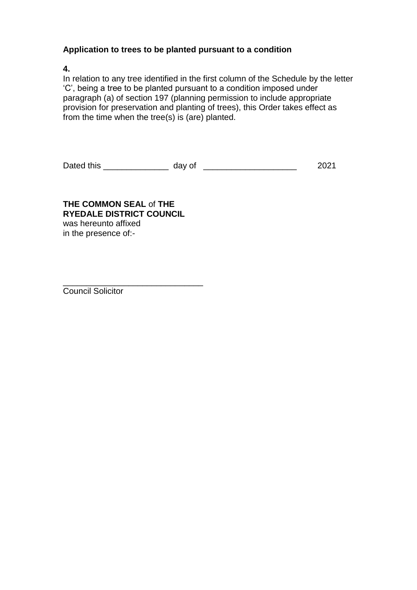#### **Application to trees to be planted pursuant to a condition**

**4.**

In relation to any tree identified in the first column of the Schedule by the letter 'C', being a tree to be planted pursuant to a condition imposed under paragraph (a) of section 197 (planning permission to include appropriate provision for preservation and planting of trees), this Order takes effect as from the time when the tree(s) is (are) planted.

Dated this \_\_\_\_\_\_\_\_\_\_\_\_\_\_ day of \_\_\_\_\_\_\_\_\_\_\_\_\_\_\_\_\_\_\_\_ 2021

**THE COMMON SEAL** of **THE RYEDALE DISTRICT COUNCIL** was hereunto affixed in the presence of:-

\_\_\_\_\_\_\_\_\_\_\_\_\_\_\_\_\_\_\_\_\_\_\_\_\_\_\_\_\_\_ Council Solicitor